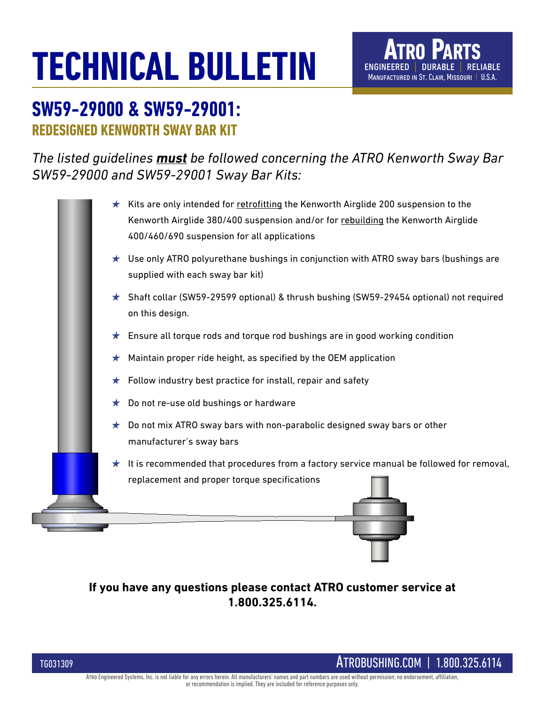# **TECHNICAL BULLETIN**

# **SW59-29000 & SW59-29001: REDESIGNED KENWORTH SWAY BAR KIT**

*The listed guidelines must be followed concerning the ATRO Kenworth Sway Bar SW59-29000 and SW59-29001 Sway Bar Kits:*

|         | $\star$ Kits are only intended for retrofitting the Kenworth Airglide 200 suspension to the<br>Kenworth Airglide 380/400 suspension and/or for rebuilding the Kenworth Airglide<br>400/460/690 suspension for all applications |
|---------|--------------------------------------------------------------------------------------------------------------------------------------------------------------------------------------------------------------------------------|
|         | $\star$ Use only ATRO polyurethane bushings in conjunction with ATRO sway bars (bushings are<br>supplied with each sway bar kit)                                                                                               |
|         | ★ Shaft collar (SW59-29599 optional) & thrush bushing (SW59-29454 optional) not required<br>on this design.                                                                                                                    |
| $\star$ | Ensure all torque rods and torque rod bushings are in good working condition                                                                                                                                                   |
| ★       | Maintain proper ride height, as specified by the OEM application                                                                                                                                                               |
| ★       | Follow industry best practice for install, repair and safety                                                                                                                                                                   |
| ★       | Do not re-use old bushings or hardware                                                                                                                                                                                         |
| $\star$ | Do not mix ATRO sway bars with non-parabolic designed sway bars or other<br>manufacturer's sway bars                                                                                                                           |
| $\star$ | It is recommended that procedures from a factory service manual be followed for removal,<br>replacement and proper torque specifications                                                                                       |
|         |                                                                                                                                                                                                                                |

**If you have any questions please contact ATRO customer service at 1.800.325.6114.**

TG031309 ATROBUSHING.COM | 1.800.325.6114